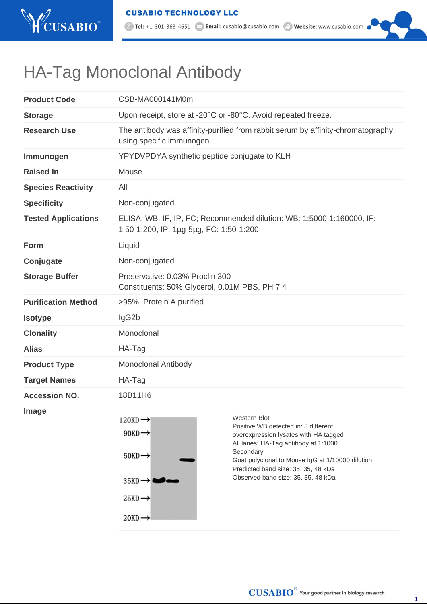

1. Tel: +1-301-363-4651 <br>
2. Email: cusabio@cusabio.com <br>
2. Website: www.cusabio.com

## HA-Tag Monoclonal Antibody

| <b>Product Code</b>        | CSB-MA000141M0m                                                                                                  |  |  |
|----------------------------|------------------------------------------------------------------------------------------------------------------|--|--|
| <b>Storage</b>             | Upon receipt, store at -20°C or -80°C. Avoid repeated freeze.                                                    |  |  |
| <b>Research Use</b>        | The antibody was affinity-purified from rabbit serum by affinity-chromatography<br>using specific immunogen.     |  |  |
| Immunogen                  | YPYDVPDYA synthetic peptide conjugate to KLH                                                                     |  |  |
| <b>Raised In</b>           | Mouse                                                                                                            |  |  |
| <b>Species Reactivity</b>  | All                                                                                                              |  |  |
| <b>Specificity</b>         | Non-conjugated                                                                                                   |  |  |
| <b>Tested Applications</b> | ELISA, WB, IF, IP, FC; Recommended dilution: WB: 1:5000-1:160000, IF:<br>1:50-1:200, IP: 1µg-5µg, FC: 1:50-1:200 |  |  |
| Form                       | Liquid                                                                                                           |  |  |
| Conjugate                  | Non-conjugated                                                                                                   |  |  |
| <b>Storage Buffer</b>      | Preservative: 0.03% Proclin 300<br>Constituents: 50% Glycerol, 0.01M PBS, PH 7.4                                 |  |  |
| <b>Purification Method</b> | >95%, Protein A purified                                                                                         |  |  |
| <b>Isotype</b>             | lgG <sub>2</sub> b                                                                                               |  |  |
| <b>Clonality</b>           | Monoclonal                                                                                                       |  |  |
| <b>Alias</b>               | HA-Tag                                                                                                           |  |  |
| <b>Product Type</b>        | <b>Monoclonal Antibody</b>                                                                                       |  |  |
| <b>Target Names</b>        | HA-Tag                                                                                                           |  |  |
| <b>Accession NO.</b>       | 18B11H6                                                                                                          |  |  |
| <u> Isaacaan ah</u>        |                                                                                                                  |  |  |

**Image**



 $\textbf{CUSABIO}^{\textcircled{\tiny{\textregistered}}}$  Your good partner in biology research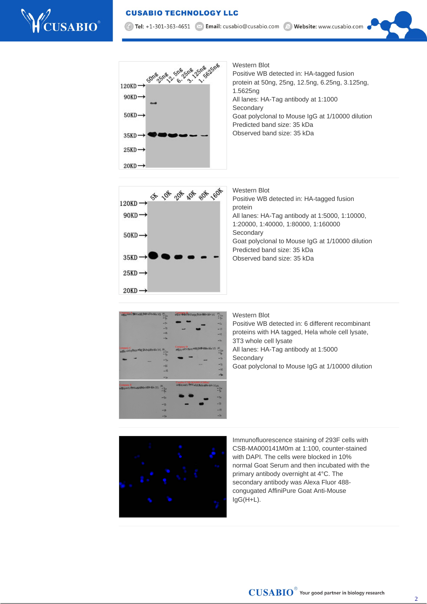## **CUSABIO TECHNOLOGY LLC**







Western Blot Positive WB detected in: HA-tagged fusion protein All lanes: HA-Tag antibody at 1:5000, 1:10000, 1:20000, 1:40000, 1:80000, 1:160000 **Secondary** Goat polyclonal to Mouse IgG at 1/10000 dilution Predicted band size: 35 kDa Observed band size: 35 kDa



## Western Blot

Positive WB detected in: 6 different recombinant proteins with HA tagged, Hela whole cell lysate, 3T3 whole cell lysate All lanes: HA-Tag antibody at 1:5000 **Secondary** Goat polyclonal to Mouse IgG at 1/10000 dilution



Immunofluorescence staining of 293F cells with CSB-MA000141M0m at 1:100, counter-stained with DAPI. The cells were blocked in 10% normal Goat Serum and then incubated with the primary antibody overnight at 4°C. The secondary antibody was Alexa Fluor 488 congugated AffiniPure Goat Anti-Mouse IgG(H+L).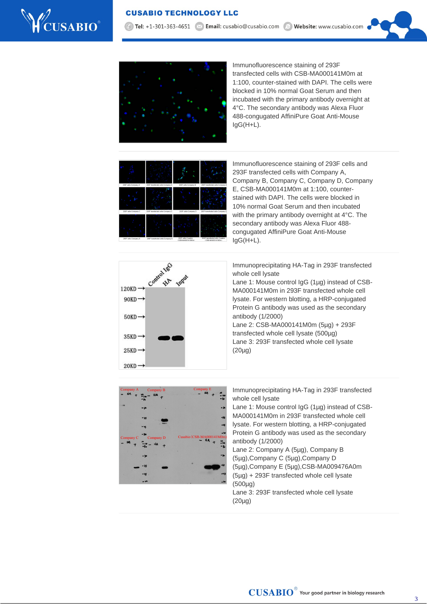

7 Tel: +1-301-363-4651 | × Email: cusabio@cusabio.com @ Website: www.cusabio.com



Immunofluorescence staining of 293F transfected cells with CSB-MA000141M0m at 1:100, counter-stained with DAPI. The cells were blocked in 10% normal Goat Serum and then incubated with the primary antibody overnight at 4°C. The secondary antibody was Alexa Fluor 488-congugated AffiniPure Goat Anti-Mouse IgG(H+L).

| 293F cells-Company A | 293F transfected cells-Company A | 293F cells-Company B                                      | 293F transfected cells-Company B                    |
|----------------------|----------------------------------|-----------------------------------------------------------|-----------------------------------------------------|
|                      |                                  |                                                           |                                                     |
| 293F cells-Company C | 293F transfected cells-Company C | 293F cells-Company D                                      | 293F transfected cells-Company D.                   |
|                      |                                  |                                                           |                                                     |
| 293F cells-Company E | 293F transfected cells-Company E | 253F cells-Cusabio<br><csb-ma000141m0m></csb-ma000141m0m> | 293F transfected cells Cusabio<br>(CSB-MA000141M0m) |

Immunofluorescence staining of 293F cells and 293F transfected cells with Company A, Company B, Company C, Company D, Company E, CSB-MA000141M0m at 1:100, counterstained with DAPI. The cells were blocked in 10% normal Goat Serum and then incubated with the primary antibody overnight at 4°C. The secondary antibody was Alexa Fluor 488 congugated AffiniPure Goat Anti-Mouse IgG(H+L).



Immunoprecipitating HA-Tag in 293F transfected whole cell lysate

Lane 1: Mouse control IgG (1µg) instead of CSB-MA000141M0m in 293F transfected whole cell lysate. For western blotting, a HRP-conjugated Protein G antibody was used as the secondary antibody (1/2000) Lane 2: CSB-MA000141M0m (5µg) + 293F

transfected whole cell lysate (500µg) Lane 3: 293F transfected whole cell lysate (20µg)



Immunoprecipitating HA-Tag in 293F transfected whole cell lysate

Lane 1: Mouse control IgG (1µg) instead of CSB-MA000141M0m in 293F transfected whole cell lysate. For western blotting, a HRP-conjugated Protein G antibody was used as the secondary antibody (1/2000)

- Lane 2: Company A (5µg), Company B (5µg),Company C (5µg),Company D
- (5µg),Company E (5µg),CSB-MA009476A0m
- (5µg) + 293F transfected whole cell lysate (500µg)

Lane 3: 293F transfected whole cell lysate (20µg)